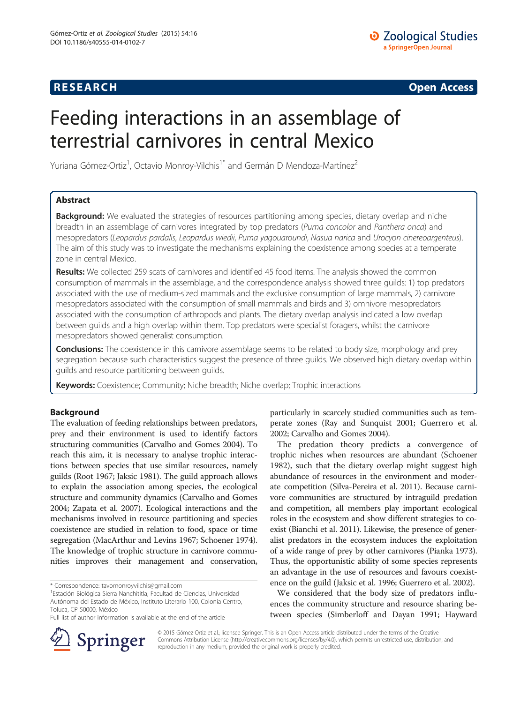## **RESEARCH RESEARCH CONSUMING ACCESS**

# Feeding interactions in an assemblage of terrestrial carnivores in central Mexico

Yuriana Gómez-Ortiz<sup>1</sup>, Octavio Monroy-Vilchis<sup>1\*</sup> and Germán D Mendoza-Martínez<sup>2</sup>

## Abstract

Background: We evaluated the strategies of resources partitioning among species, dietary overlap and niche breadth in an assemblage of carnivores integrated by top predators (Puma concolor and Panthera onca) and mesopredators (Leopardus pardalis, Leopardus wiedii, Puma yagouaroundi, Nasua narica and Urocyon cinereoargenteus). The aim of this study was to investigate the mechanisms explaining the coexistence among species at a temperate zone in central Mexico.

Results: We collected 259 scats of carnivores and identified 45 food items. The analysis showed the common consumption of mammals in the assemblage, and the correspondence analysis showed three guilds: 1) top predators associated with the use of medium-sized mammals and the exclusive consumption of large mammals, 2) carnivore mesopredators associated with the consumption of small mammals and birds and 3) omnivore mesopredators associated with the consumption of arthropods and plants. The dietary overlap analysis indicated a low overlap between guilds and a high overlap within them. Top predators were specialist foragers, whilst the carnivore mesopredators showed generalist consumption.

Conclusions: The coexistence in this carnivore assemblage seems to be related to body size, morphology and prey segregation because such characteristics suggest the presence of three guilds. We observed high dietary overlap within guilds and resource partitioning between guilds.

Keywords: Coexistence; Community; Niche breadth; Niche overlap; Trophic interactions

## Background

The evaluation of feeding relationships between predators, prey and their environment is used to identify factors structuring communities (Carvalho and Gomes [2004\)](#page-6-0). To reach this aim, it is necessary to analyse trophic interactions between species that use similar resources, namely guilds (Root [1967](#page-7-0); Jaksic [1981\)](#page-6-0). The guild approach allows to explain the association among species, the ecological structure and community dynamics (Carvalho and Gomes [2004;](#page-6-0) Zapata et al. [2007\)](#page-7-0). Ecological interactions and the mechanisms involved in resource partitioning and species coexistence are studied in relation to food, space or time segregation (MacArthur and Levins [1967](#page-6-0); Schoener [1974](#page-7-0)). The knowledge of trophic structure in carnivore communities improves their management and conservation,



The predation theory predicts a convergence of trophic niches when resources are abundant (Schoener [1982](#page-7-0)), such that the dietary overlap might suggest high abundance of resources in the environment and moderate competition (Silva-Pereira et al. [2011](#page-7-0)). Because carnivore communities are structured by intraguild predation and competition, all members play important ecological roles in the ecosystem and show different strategies to coexist (Bianchi et al. [2011](#page-6-0)). Likewise, the presence of generalist predators in the ecosystem induces the exploitation of a wide range of prey by other carnivores (Pianka [1973](#page-7-0)). Thus, the opportunistic ability of some species represents an advantage in the use of resources and favours coexistence on the guild (Jaksic et al. [1996;](#page-6-0) Guerrero et al. [2002](#page-6-0)).

We considered that the body size of predators influences the community structure and resource sharing between species (Simberloff and Dayan [1991;](#page-7-0) Hayward



© 2015 Gómez-Ortiz et al.; licensee Springer. This is an Open Access article distributed under the terms of the Creative Commons Attribution License (<http://creativecommons.org/licenses/by/4.0>), which permits unrestricted use, distribution, and reproduction in any medium, provided the original work is properly credited.

<sup>\*</sup> Correspondence: [tavomonroyvilchis@gmail.com](mailto:tavomonroyvilchis@gmail.com) <sup>1</sup>

Estación Biológica Sierra Nanchititla, Facultad de Ciencias, Universidad Autónoma del Estado de México, Instituto Literario 100, Colonia Centro, Toluca, CP 50000, México

Full list of author information is available at the end of the article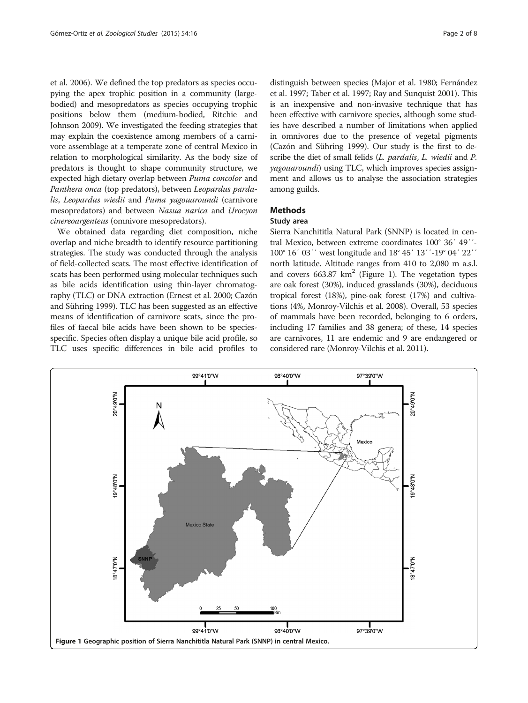et al. [2006\)](#page-6-0). We defined the top predators as species occupying the apex trophic position in a community (largebodied) and mesopredators as species occupying trophic positions below them (medium-bodied, Ritchie and Johnson [2009\)](#page-7-0). We investigated the feeding strategies that may explain the coexistence among members of a carnivore assemblage at a temperate zone of central Mexico in relation to morphological similarity. As the body size of predators is thought to shape community structure, we expected high dietary overlap between Puma concolor and Panthera onca (top predators), between Leopardus pardalis, Leopardus wiedii and Puma yagouaroundi (carnivore mesopredators) and between Nasua narica and Urocyon cinereoargenteus (omnivore mesopredators).

We obtained data regarding diet composition, niche overlap and niche breadth to identify resource partitioning strategies. The study was conducted through the analysis of field-collected scats. The most effective identification of scats has been performed using molecular techniques such as bile acids identification using thin-layer chromatography (TLC) or DNA extraction (Ernest et al. [2000](#page-6-0); Cazón and Sühring [1999](#page-6-0)). TLC has been suggested as an effective means of identification of carnivore scats, since the profiles of faecal bile acids have been shown to be speciesspecific. Species often display a unique bile acid profile, so TLC uses specific differences in bile acid profiles to

distinguish between species (Major et al. [1980;](#page-6-0) Fernández et al. [1997;](#page-6-0) Taber et al. [1997;](#page-7-0) Ray and Sunquist [2001\)](#page-7-0). This is an inexpensive and non-invasive technique that has been effective with carnivore species, although some studies have described a number of limitations when applied in omnivores due to the presence of vegetal pigments (Cazón and Sühring [1999](#page-6-0)). Our study is the first to describe the diet of small felids (L. pardalis, L. wiedii and P. yagouaroundi) using TLC, which improves species assignment and allows us to analyse the association strategies among guilds.

### Methods

## Study area

Sierra Nanchititla Natural Park (SNNP) is located in central Mexico, between extreme coordinates 100° 36′ 49′′- 100° 16′ 03′′ west longitude and 18° 45′ 13′′-19° 04′ 22′′ north latitude. Altitude ranges from 410 to 2,080 m a.s.l. and covers  $663.87 \text{ km}^2$  (Figure 1). The vegetation types are oak forest (30%), induced grasslands (30%), deciduous tropical forest (18%), pine-oak forest (17%) and cultivations (4%, Monroy-Vilchis et al. [2008](#page-6-0)). Overall, 53 species of mammals have been recorded, belonging to 6 orders, including 17 families and 38 genera; of these, 14 species are carnivores, 11 are endemic and 9 are endangered or considered rare (Monroy-Vilchis et al. [2011](#page-6-0)).

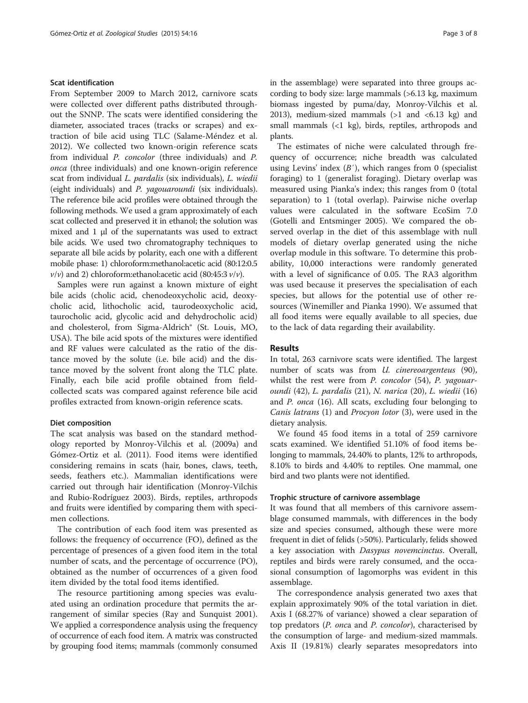### Scat identification

From September 2009 to March 2012, carnivore scats were collected over different paths distributed throughout the SNNP. The scats were identified considering the diameter, associated traces (tracks or scrapes) and extraction of bile acid using TLC (Salame-Méndez et al. [2012](#page-7-0)). We collected two known-origin reference scats from individual P. concolor (three individuals) and P. onca (three individuals) and one known-origin reference scat from individual L. pardalis (six individuals), L. wiedii (eight individuals) and P. yagouaroundi (six individuals). The reference bile acid profiles were obtained through the following methods. We used a gram approximately of each scat collected and preserved it in ethanol; the solution was mixed and 1 μl of the supernatants was used to extract bile acids. We used two chromatography techniques to separate all bile acids by polarity, each one with a different mobile phase: 1) chloroform:methanol:acetic acid (80:12:0.5  $v/v$ ) and 2) chloroform: ethanol: acetic acid (80:45:3  $v/v$ ).

Samples were run against a known mixture of eight bile acids (cholic acid, chenodeoxycholic acid, deoxycholic acid, lithocholic acid, taurodeoxycholic acid, taurocholic acid, glycolic acid and dehydrocholic acid) and cholesterol, from Sigma-Aldrich® (St. Louis, MO, USA). The bile acid spots of the mixtures were identified and RF values were calculated as the ratio of the distance moved by the solute (i.e. bile acid) and the distance moved by the solvent front along the TLC plate. Finally, each bile acid profile obtained from fieldcollected scats was compared against reference bile acid profiles extracted from known-origin reference scats.

#### Diet composition

The scat analysis was based on the standard methodology reported by Monroy-Vilchis et al. [\(2009a](#page-6-0)) and Gómez-Ortiz et al. ([2011](#page-6-0)). Food items were identified considering remains in scats (hair, bones, claws, teeth, seeds, feathers etc.). Mammalian identifications were carried out through hair identification (Monroy-Vilchis and Rubio-Rodríguez [2003](#page-6-0)). Birds, reptiles, arthropods and fruits were identified by comparing them with specimen collections.

The contribution of each food item was presented as follows: the frequency of occurrence (FO), defined as the percentage of presences of a given food item in the total number of scats, and the percentage of occurrence (PO), obtained as the number of occurrences of a given food item divided by the total food items identified.

The resource partitioning among species was evaluated using an ordination procedure that permits the arrangement of similar species (Ray and Sunquist [2001](#page-7-0)). We applied a correspondence analysis using the frequency of occurrence of each food item. A matrix was constructed by grouping food items; mammals (commonly consumed in the assemblage) were separated into three groups according to body size: large mammals (>6.13 kg, maximum biomass ingested by puma/day, Monroy-Vilchis et al. [2013](#page-6-0)), medium-sized mammals  $(>1$  and  $$6.13$  kg) and$ small mammals  $\left( \langle 1 \rangle \langle k, \rangle \right)$  birds, reptiles, arthropods and plants.

The estimates of niche were calculated through frequency of occurrence; niche breadth was calculated using Levins' index  $(B')$ , which ranges from 0 (specialist) foraging) to 1 (generalist foraging). Dietary overlap was measured using Pianka's index; this ranges from 0 (total separation) to 1 (total overlap). Pairwise niche overlap values were calculated in the software EcoSim 7.0 (Gotelli and Entsminger [2005\)](#page-6-0). We compared the observed overlap in the diet of this assemblage with null models of dietary overlap generated using the niche overlap module in this software. To determine this probability, 10,000 interactions were randomly generated with a level of significance of 0.05. The RA3 algorithm was used because it preserves the specialisation of each species, but allows for the potential use of other resources (Winemiller and Pianka [1990\)](#page-7-0). We assumed that all food items were equally available to all species, due to the lack of data regarding their availability.

## Results

In total, 263 carnivore scats were identified. The largest number of scats was from *U. cinereoargenteus* (90), whilst the rest were from *P. concolor* (54), *P. yagouar*oundi (42), L. pardalis (21), N. narica (20), L. wiedii (16) and P. onca (16). All scats, excluding four belonging to Canis latrans (1) and Procyon lotor (3), were used in the dietary analysis.

We found 45 food items in a total of 259 carnivore scats examined. We identified 51.10% of food items belonging to mammals, 24.40% to plants, 12% to arthropods, 8.10% to birds and 4.40% to reptiles. One mammal, one bird and two plants were not identified.

#### Trophic structure of carnivore assemblage

It was found that all members of this carnivore assemblage consumed mammals, with differences in the body size and species consumed, although these were more frequent in diet of felids (>50%). Particularly, felids showed a key association with Dasypus novemcinctus. Overall, reptiles and birds were rarely consumed, and the occasional consumption of lagomorphs was evident in this assemblage.

The correspondence analysis generated two axes that explain approximately 90% of the total variation in diet. Axis I (68.27% of variance) showed a clear separation of top predators (P. onca and P. concolor), characterised by the consumption of large- and medium-sized mammals. Axis II (19.81%) clearly separates mesopredators into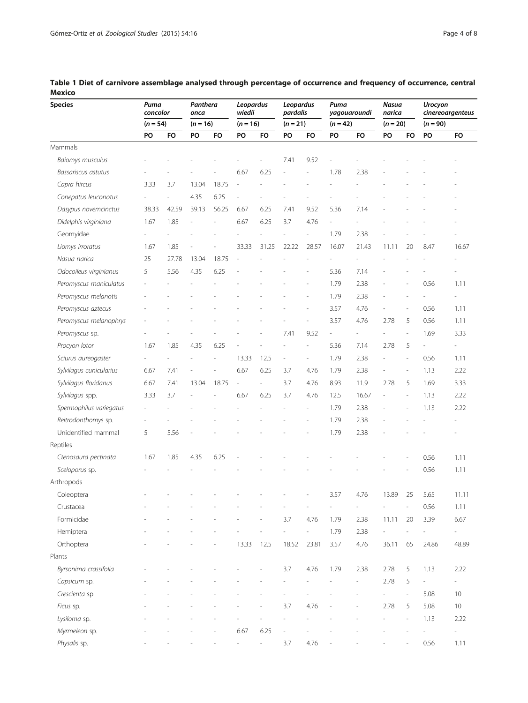| <b>Species</b>          | Puma<br>concolor<br>$(n = 54)$ |       | Panthera<br>onca<br>$(n = 16)$ |                | Leopardus<br>wiedii<br>$(n = 16)$ |               | Leopardus<br>pardalis<br>$(n = 21)$ |                          | Puma<br>yagouaroundi<br>$(n = 42)$ |                | Nasua<br>narica<br>$(n = 20)$ |                          | <b>Urocyon</b><br>cinereoargenteus<br>$(n = 90)$ |                          |
|-------------------------|--------------------------------|-------|--------------------------------|----------------|-----------------------------------|---------------|-------------------------------------|--------------------------|------------------------------------|----------------|-------------------------------|--------------------------|--------------------------------------------------|--------------------------|
|                         |                                |       |                                |                |                                   |               |                                     |                          |                                    |                |                               |                          |                                                  |                          |
|                         | Mammals                        |       |                                |                |                                   |               |                                     |                          |                                    |                |                               |                          |                                                  |                          |
| <b>Baiomys musculus</b> |                                |       |                                |                |                                   |               | 7.41                                | 9.52                     |                                    |                |                               |                          |                                                  |                          |
| Bassariscus astutus     |                                |       |                                |                | 6.67                              | 6.25          |                                     |                          | 1.78                               | 2.38           |                               |                          |                                                  |                          |
| Capra hircus            | 3.33                           | 3.7   | 13.04                          | 18.75          |                                   |               |                                     |                          |                                    |                |                               |                          |                                                  |                          |
| Conepatus leuconotus    |                                |       | 4.35                           | 6.25           |                                   |               |                                     |                          |                                    |                |                               |                          |                                                  |                          |
| Dasypus novemcinctus    | 38.33                          | 42.59 | 39.13                          | 56.25          | 6.67                              | 6.25          | 7.41                                | 9.52                     | 5.36                               | 7.14           |                               |                          |                                                  |                          |
| Didelphis virginiana    | 1.67                           | 1.85  |                                | $\overline{a}$ | 6.67                              | 6.25          | 3.7                                 | 4.76                     | $\overline{\phantom{a}}$           |                |                               |                          |                                                  |                          |
| Geomyidae               |                                |       |                                |                |                                   |               |                                     | $\overline{\phantom{a}}$ | 1.79                               | 2.38           |                               |                          |                                                  |                          |
| Liomys irroratus        | 1.67                           | 1.85  |                                |                | 33.33                             | 31.25         | 22.22                               | 28.57                    | 16.07                              | 21.43          | 11.11                         | 20                       | 8.47                                             | 16.67                    |
| Nasua narica            | 25                             | 27.78 | 13.04                          | 18.75          |                                   |               |                                     |                          |                                    |                |                               |                          |                                                  |                          |
| Odocoileus virginianus  | 5                              | 5.56  | 4.35                           | 6.25           |                                   |               |                                     |                          | 5.36                               | 7.14           |                               |                          |                                                  |                          |
| Peromyscus maniculatus  |                                |       |                                |                |                                   |               |                                     |                          | 1.79                               | 2.38           |                               |                          | 0.56                                             | 1.11                     |
| Peromyscus melanotis    |                                |       |                                |                |                                   |               |                                     |                          | 1.79                               | 2.38           |                               |                          |                                                  | $\overline{a}$           |
| Peromyscus aztecus      |                                |       |                                |                |                                   |               |                                     |                          | 3.57                               | 4.76           |                               | $\overline{\phantom{a}}$ | 0.56                                             | 1.11                     |
| Peromyscus melanophrys  |                                |       |                                |                |                                   |               |                                     |                          | 3.57                               | 4.76           | 2.78                          | 5                        | 0.56                                             | 1.11                     |
| Peromyscus sp.          |                                |       |                                |                |                                   |               | 7.41                                | 9.52                     | $\overline{\phantom{a}}$           | $\overline{a}$ |                               | $\overline{a}$           | 1.69                                             | 3.33                     |
| Procyon lotor           | 1.67                           | 1.85  | 4.35                           | 6.25           |                                   |               |                                     | ä,                       | 5.36                               | 7.14           | 2.78                          | 5                        | $\overline{\phantom{m}}$                         | L,                       |
| Sciurus aureogaster     |                                |       |                                |                | 13.33                             | 12.5          | ä,                                  | ä,                       | 1.79                               | 2.38           |                               | L,                       | 0.56                                             | 1.11                     |
| Sylvilagus cunicularius | 6.67                           | 7.41  |                                | $\overline{a}$ | 6.67                              | 6.25          | 3.7                                 | 4.76                     | 1.79                               | 2.38           |                               | $\overline{a}$           | 1.13                                             | 2.22                     |
| Sylvilagus floridanus   | 6.67                           | 7.41  | 13.04                          | 18.75          | $\overline{\phantom{a}}$          | ä,            | 3.7                                 | 4.76                     | 8.93                               | 11.9           | 2.78                          | 5                        | 1.69                                             | 3.33                     |
| Sylvilagus spp.         | 3.33                           | 3.7   |                                |                | 6.67                              | 6.25          | 3.7                                 | 4.76                     | 12.5                               | 16.67          |                               | $\overline{a}$           | 1.13                                             | 2.22                     |
| Spermophilus variegatus |                                |       |                                |                |                                   |               |                                     | $\overline{a}$           | 1.79                               | 2.38           |                               |                          | 1.13                                             | 2.22                     |
| Reitrodonthomys sp.     |                                |       |                                |                |                                   |               |                                     |                          | 1.79                               | 2.38           |                               |                          |                                                  |                          |
| Unidentified mammal     | 5                              | 5.56  |                                |                |                                   |               |                                     |                          | 1.79                               | 2.38           |                               |                          |                                                  |                          |
| Reptiles                |                                |       |                                |                |                                   |               |                                     |                          |                                    |                |                               |                          |                                                  |                          |
| Ctenosaura pectinata    | 1.67                           | 1.85  | 4.35                           | 6.25           |                                   |               |                                     |                          |                                    |                |                               |                          | 0.56                                             | 1.11                     |
| Sceloporus sp.          |                                |       |                                |                |                                   |               |                                     |                          |                                    |                |                               |                          | 0.56                                             | 1.11                     |
| Arthropods              |                                |       |                                |                |                                   |               |                                     |                          |                                    |                |                               |                          |                                                  |                          |
| Coleoptera              |                                |       |                                |                |                                   |               |                                     |                          | 3.57                               | 4.76           | 13.89                         | 25                       | 5.65                                             | 11.11                    |
| Crustacea               |                                |       |                                |                |                                   |               |                                     |                          |                                    |                |                               |                          | 0.56                                             | 1.11                     |
| Formicidae              |                                |       |                                |                |                                   |               | 3.7                                 | 4.76                     | 1.79                               | 2.38           | 11.11                         | 20                       | 3.39                                             | 6.67                     |
| Hemiptera               |                                |       |                                |                |                                   |               | L.                                  | $\overline{\phantom{a}}$ | 1.79                               | 2.38           |                               |                          |                                                  | 4                        |
| Orthoptera              |                                |       |                                |                | 13.33                             | 12.5          | 18.52                               | 23.81                    | 3.57                               | 4.76           | 36.11                         | 65                       | 24.86                                            | 48.89                    |
| Plants                  |                                |       |                                |                |                                   |               |                                     |                          |                                    |                |                               |                          |                                                  |                          |
| Byrsonima crassifolia   |                                |       |                                |                |                                   |               | 3.7                                 | 4.76                     | 1.79                               | 2.38           | 2.78                          | 5                        | 1.13                                             | 2.22                     |
| Capsicum sp.            |                                |       |                                |                |                                   |               |                                     |                          |                                    |                | 2.78                          | 5                        |                                                  | $\overline{\phantom{0}}$ |
| Crescienta sp.          |                                |       |                                |                |                                   |               |                                     |                          |                                    |                |                               | $\overline{\phantom{a}}$ | 5.08                                             | 10                       |
| Ficus sp.               |                                |       |                                |                |                                   |               | 3.7                                 | 4.76                     |                                    |                | 2.78                          | 5                        | 5.08                                             | 10                       |
| Lysiloma sp.            |                                |       |                                |                |                                   |               |                                     |                          |                                    |                |                               |                          | 1.13                                             | 2.22                     |
| Myrmeleon sp.           |                                |       |                                |                | 6.67                              | 6.25          |                                     |                          |                                    |                |                               |                          |                                                  | $\overline{\phantom{a}}$ |
| Physalis sp.            |                                |       |                                |                |                                   | $\frac{1}{2}$ | 3.7                                 | 4.76                     |                                    |                |                               |                          | 0.56                                             | 1.11                     |

<span id="page-3-0"></span>Table 1 Diet of carnivore assemblage analysed through percentage of occurrence and frequency of occurrence, central Mexico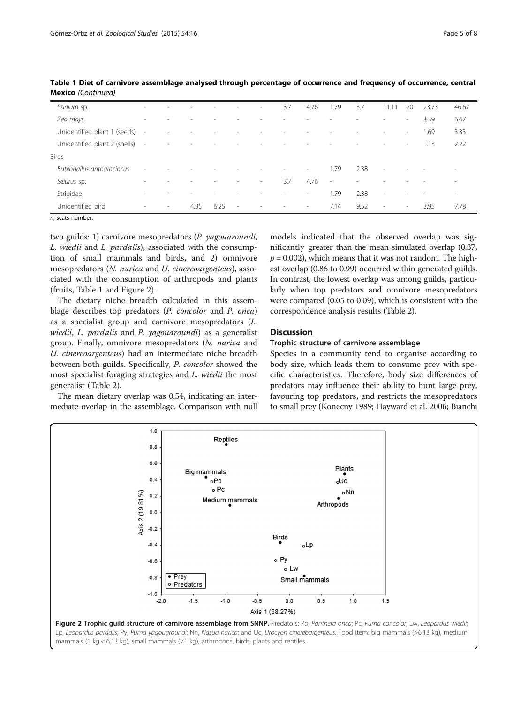| Psidium sp.                   |                          |                          |                          |      | $\overline{\phantom{a}}$ | $\sim$ | 3.7    | 4.76                     | 1.79                     | 3.7  | $11.1$ <sup>*</sup>      | 20                       | 23.73                    | 46.67                    |
|-------------------------------|--------------------------|--------------------------|--------------------------|------|--------------------------|--------|--------|--------------------------|--------------------------|------|--------------------------|--------------------------|--------------------------|--------------------------|
| Zea mays                      | $\sim$                   |                          |                          |      |                          |        |        |                          |                          |      | $\overline{\phantom{a}}$ | $\sim$                   | 3.39                     | 6.67                     |
| Unidentified plant 1 (seeds)  | $\sim$                   |                          |                          |      |                          |        |        |                          |                          |      | $\overline{\phantom{a}}$ | $\overline{\phantom{a}}$ | 1.69                     | 3.33                     |
| Unidentified plant 2 (shells) | $\sim$                   | $\sim$                   | $\overline{\phantom{a}}$ |      |                          |        |        | -                        | ۰                        |      | $\overline{\phantom{a}}$ | $\sim$                   | 1.13                     | 2.22                     |
| <b>Birds</b>                  |                          |                          |                          |      |                          |        |        |                          |                          |      |                          |                          |                          |                          |
| Buteogallus antharacincus     | $\sim$                   |                          |                          |      |                          |        | $\sim$ | $\overline{\phantom{a}}$ | 1.79                     | 2.38 | $\overline{\phantom{a}}$ | $\sim$                   | $\overline{\phantom{a}}$ | ۰                        |
| Seiurus sp.                   | $\sim$                   |                          |                          |      | ۰                        | $\sim$ | 3.7    | 4.76                     | $\overline{\phantom{a}}$ |      | $\overline{\phantom{a}}$ |                          |                          | ۰                        |
| Strigidae                     | $\overline{\phantom{a}}$ |                          |                          |      | ۰                        |        | $\sim$ | $\sim$                   | 1.79                     | 2.38 | $\overline{\phantom{a}}$ | $\sim$                   | $\overline{\phantom{a}}$ | $\overline{\phantom{a}}$ |
| Unidentified bird             | $\sim$                   | $\overline{\phantom{a}}$ | 4.35                     | 6.25 | $\overline{\phantom{a}}$ | $\sim$ | $\sim$ | $\sim$                   | 7.14                     | 9.52 | $\overline{\phantom{a}}$ | $\overline{\phantom{a}}$ | 3.95                     | 7.78                     |

Table 1 Diet of carnivore assemblage analysed through percentage of occurrence and frequency of occurrence, central Mexico (Continued)

n, scats number.

two guilds: 1) carnivore mesopredators (P. yagouaroundi, L. wiedii and L. pardalis), associated with the consumption of small mammals and birds, and 2) omnivore mesopredators (N. narica and U. cinereoargenteus), associated with the consumption of arthropods and plants (fruits, Table [1](#page-3-0) and Figure 2).

The dietary niche breadth calculated in this assemblage describes top predators (P. concolor and P. onca) as a specialist group and carnivore mesopredators (L. wiedii, L. pardalis and P. yagouaroundi) as a generalist group. Finally, omnivore mesopredators (N. narica and U. cinereoargenteus) had an intermediate niche breadth between both guilds. Specifically, P. concolor showed the most specialist foraging strategies and L. wiedii the most generalist (Table [2\)](#page-5-0).

The mean dietary overlap was 0.54, indicating an intermediate overlap in the assemblage. Comparison with null models indicated that the observed overlap was significantly greater than the mean simulated overlap (0.37,  $p = 0.002$ ), which means that it was not random. The highest overlap (0.86 to 0.99) occurred within generated guilds. In contrast, the lowest overlap was among guilds, particularly when top predators and omnivore mesopredators were compared (0.05 to 0.09), which is consistent with the correspondence analysis results (Table [2\)](#page-5-0).

## **Discussion**

## Trophic structure of carnivore assemblage

Species in a community tend to organise according to body size, which leads them to consume prey with specific characteristics. Therefore, body size differences of predators may influence their ability to hunt large prey, favouring top predators, and restricts the mesopredators to small prey (Konecny [1989;](#page-6-0) Hayward et al. [2006;](#page-6-0) Bianchi

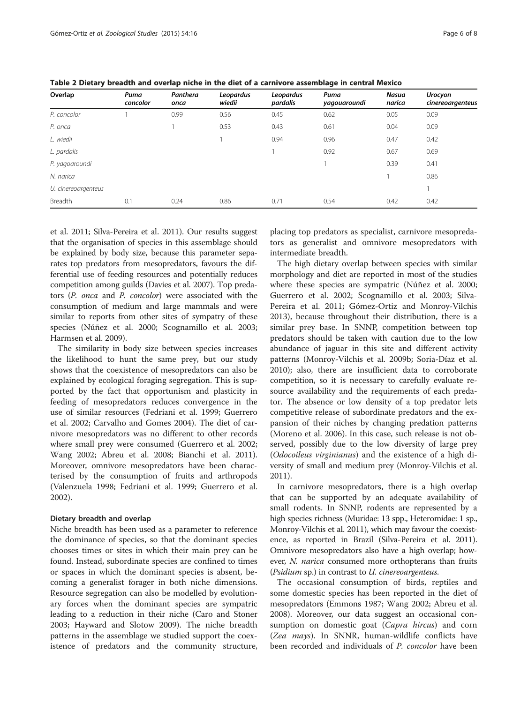| Overlap             | Puma<br>concolor | Panthera<br>onca | Leopardus<br>wiedii | Leopardus<br>pardalis | Puma<br>yaqouaroundi | <b>Nasua</b><br>narica | <b>Urocyon</b><br>cinereoargenteus |
|---------------------|------------------|------------------|---------------------|-----------------------|----------------------|------------------------|------------------------------------|
| P. concolor         |                  | 0.99             | 0.56                | 0.45                  | 0.62                 | 0.05                   | 0.09                               |
| P. onca             |                  |                  | 0.53                | 0.43                  | 0.61                 | 0.04                   | 0.09                               |
| L. wiedii           |                  |                  |                     | 0.94                  | 0.96                 | 0.47                   | 0.42                               |
| L. pardalis         |                  |                  |                     |                       | 0.92                 | 0.67                   | 0.69                               |
| P. yagoaroundi      |                  |                  |                     |                       |                      | 0.39                   | 0.41                               |
| N. narica           |                  |                  |                     |                       |                      |                        | 0.86                               |
| U. cinereoargenteus |                  |                  |                     |                       |                      |                        |                                    |
| Breadth             | 0.1              | 0.24             | 0.86                | 0.71                  | 0.54                 | 0.42                   | 0.42                               |

<span id="page-5-0"></span>Table 2 Dietary breadth and overlap niche in the diet of a carnivore assemblage in central Mexico

et al. [2011;](#page-6-0) Silva-Pereira et al. [2011](#page-7-0)). Our results suggest that the organisation of species in this assemblage should be explained by body size, because this parameter separates top predators from mesopredators, favours the differential use of feeding resources and potentially reduces competition among guilds (Davies et al. [2007](#page-6-0)). Top predators (P. onca and P. concolor) were associated with the consumption of medium and large mammals and were similar to reports from other sites of sympatry of these species (Núñez et al. [2000;](#page-6-0) Scognamillo et al. [2003](#page-7-0); Harmsen et al. [2009](#page-6-0)).

The similarity in body size between species increases the likelihood to hunt the same prey, but our study shows that the coexistence of mesopredators can also be explained by ecological foraging segregation. This is supported by the fact that opportunism and plasticity in feeding of mesopredators reduces convergence in the use of similar resources (Fedriani et al. [1999;](#page-6-0) Guerrero et al. [2002;](#page-6-0) Carvalho and Gomes [2004](#page-6-0)). The diet of carnivore mesopredators was no different to other records where small prey were consumed (Guerrero et al. [2002](#page-6-0); Wang [2002;](#page-7-0) Abreu et al. [2008](#page-6-0); Bianchi et al. [2011](#page-6-0)). Moreover, omnivore mesopredators have been characterised by the consumption of fruits and arthropods (Valenzuela [1998](#page-7-0); Fedriani et al. [1999;](#page-6-0) Guerrero et al. [2002](#page-6-0)).

#### Dietary breadth and overlap

Niche breadth has been used as a parameter to reference the dominance of species, so that the dominant species chooses times or sites in which their main prey can be found. Instead, subordinate species are confined to times or spaces in which the dominant species is absent, becoming a generalist forager in both niche dimensions. Resource segregation can also be modelled by evolutionary forces when the dominant species are sympatric leading to a reduction in their niche (Caro and Stoner [2003](#page-6-0); Hayward and Slotow [2009](#page-6-0)). The niche breadth patterns in the assemblage we studied support the coexistence of predators and the community structure,

placing top predators as specialist, carnivore mesopredators as generalist and omnivore mesopredators with intermediate breadth.

The high dietary overlap between species with similar morphology and diet are reported in most of the studies where these species are sympatric (Núñez et al. [2000](#page-6-0); Guerrero et al. [2002](#page-6-0); Scognamillo et al. [2003;](#page-7-0) Silva-Pereira et al. [2011](#page-7-0); Gómez-Ortiz and Monroy-Vilchis [2013](#page-6-0)), because throughout their distribution, there is a similar prey base. In SNNP, competition between top predators should be taken with caution due to the low abundance of jaguar in this site and different activity patterns (Monroy-Vilchis et al. [2009b](#page-6-0); Soria-Díaz et al. [2010](#page-7-0)); also, there are insufficient data to corroborate competition, so it is necessary to carefully evaluate resource availability and the requirements of each predator. The absence or low density of a top predator lets competitive release of subordinate predators and the expansion of their niches by changing predation patterns (Moreno et al. [2006](#page-6-0)). In this case, such release is not observed, possibly due to the low diversity of large prey (Odocoileus virginianus) and the existence of a high diversity of small and medium prey (Monroy-Vilchis et al. [2011](#page-6-0)).

In carnivore mesopredators, there is a high overlap that can be supported by an adequate availability of small rodents. In SNNP, rodents are represented by a high species richness (Muridae: 13 spp., Heteromidae: 1 sp., Monroy-Vilchis et al. [2011\)](#page-6-0), which may favour the coexistence, as reported in Brazil (Silva-Pereira et al. [2011](#page-7-0)). Omnivore mesopredators also have a high overlap; however, *N. narica* consumed more orthopterans than fruits (Psidium sp.) in contrast to U. cinereoargenteus.

The occasional consumption of birds, reptiles and some domestic species has been reported in the diet of mesopredators (Emmons [1987;](#page-6-0) Wang [2002;](#page-7-0) Abreu et al. [2008](#page-6-0)). Moreover, our data suggest an occasional consumption on domestic goat (Capra hircus) and corn (Zea mays). In SNNR, human-wildlife conflicts have been recorded and individuals of P. concolor have been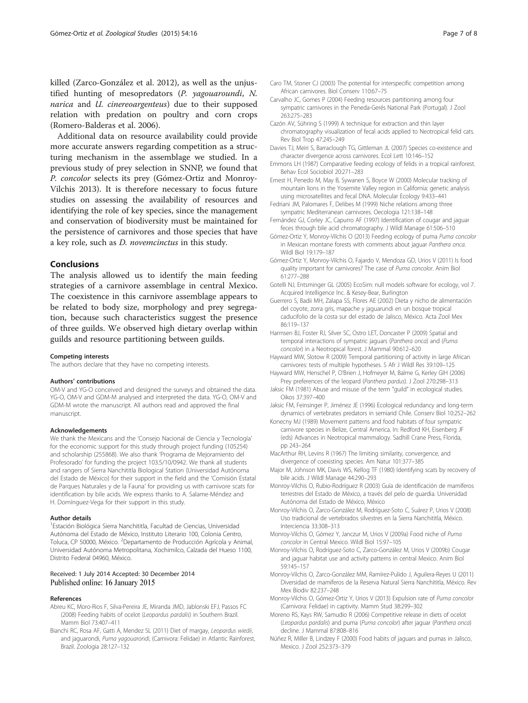<span id="page-6-0"></span>killed (Zarco-González et al. [2012\)](#page-7-0), as well as the unjustified hunting of mesopredators (P. yagouaroundi, N. narica and U. cinereoargenteus) due to their supposed relation with predation on poultry and corn crops (Romero-Balderas et al. [2006\)](#page-7-0).

Additional data on resource availability could provide more accurate answers regarding competition as a structuring mechanism in the assemblage we studied. In a previous study of prey selection in SNNP, we found that P. concolor selects its prey (Gómez-Ortiz and Monroy-Vilchis 2013). It is therefore necessary to focus future studies on assessing the availability of resources and identifying the role of key species, since the management and conservation of biodiversity must be maintained for the persistence of carnivores and those species that have a key role, such as D. novemcinctus in this study.

## Conclusions

The analysis allowed us to identify the main feeding strategies of a carnivore assemblage in central Mexico. The coexistence in this carnivore assemblage appears to be related to body size, morphology and prey segregation, because such characteristics suggest the presence of three guilds. We observed high dietary overlap within guilds and resource partitioning between guilds.

#### Competing interests

The authors declare that they have no competing interests.

#### Authors' contributions

OM-V and YG-O conceived and designed the surveys and obtained the data. YG-O, OM-V and GDM-M analysed and interpreted the data. YG-O, OM-V and GDM-M wrote the manuscript. All authors read and approved the final manuscript.

#### Acknowledgements

We thank the Mexicans and the 'Consejo Nacional de Ciencia y Tecnología' for the economic support for this study through project funding (105254) and scholarship (255868). We also thank 'Programa de Mejoramiento del Profesorado' for funding the project 103.5/10/0942. We thank all students and rangers of Sierra Nanchititla Biological Station (Universidad Autónoma del Estado de México) for their support in the field and the 'Comisión Estatal de Parques Naturales y de la Fauna' for providing us with carnivore scats for identification by bile acids. We express thanks to A. Salame-Méndez and H. Domínguez-Vega for their support in this study.

#### Author details

<sup>1</sup> Estación Biológica Sierra Nanchititla, Facultad de Ciencias, Universidad Autónoma del Estado de México, Instituto Literario 100, Colonia Centro, Toluca, CP 50000, México. <sup>2</sup>Departamento de Producción Agrícola y Animal, Universidad Autónoma Metropolitana, Xochimilco, Calzada del Hueso 1100, Distrito Federal 04960, México.

#### Received: 1 July 2014 Accepted: 30 December 2014 Published online: 16 January 2015

#### References

- Abreu KC, Moro-Rios F, Silva-Pereira JE, Miranda JMD, Jablonski EFJ, Passos FC (2008) Feeding habits of ocelot (Leopardus pardalis) in Southern Brazil. Mamm Biol 73:407–411
- Bianchi RC, Rosa AF, Gatti A, Mendez SL (2011) Diet of margay, Leopardus wiedii, and jaguarondi, Puma yagouarondi, (Carnivora: Felidae) in Atlantic Rainforest, Brazil. Zoologia 28:127–132
- Caro TM, Stoner CJ (2003) The potential for interspecific competition among African carnivores. Biol Conserv 110:67–75
- Carvalho JC, Gomes P (2004) Feeding resources partitioning among four sympatric carnivores in the Peneda-Gerés National Park (Portugal). J Zool 263:275–283
- Cazón AV, Sühring S (1999) A technique for extraction and thin layer chromatography visualization of fecal acids applied to Neotropical felid cats. Rev Biol Trop 47:245–249
- Davies TJ, Meiri S, Barraclough TG, Gittleman JL (2007) Species co-existence and character divergence across carnivores. Ecol Lett 10:146–152
- Emmons LH (1987) Comparative feeding ecology of felids in a tropical rainforest. Behav Ecol Sociobiol 20:271–283
- Ernest H, Penedo M, May B, Sywanen S, Boyce W (2000) Molecular tracking of mountain lions in the Yosemite Valley region in California: genetic analysis using microsatellites and fecal DNA. Molecular Ecology 9:433–441
- Fedriani JM, Palomares F, Delibes M (1999) Niche relations among three sympatric Mediterranean carnivores. Oecologia 121:138–148
- Fernández GJ, Corley JC, Capurro AF (1997) Identification of cougar and jaguar feces through bile acid chromatography. J Wildl Manage 61:506–510
- Gómez-Ortiz Y, Monroy-Vilchis O (2013) Feeding ecology of puma Puma concolor in Mexican montane forests with comments about jaguar Panthera onca. Wildl Biol 19:179–187
- Gómez-Ortiz Y, Monroy-Vilchis O, Fajardo V, Mendoza GD, Urios V (2011) Is food quality important for carnivores? The case of Puma concolor. Anim Biol 61:277–288
- Gotelli NJ, Entsminger GL (2005) EcoSim: null models software for ecology, vol 7. Acquired Intelligence Inc. & Kesey-Bear, Burlington
- Guerrero S, Badii MH, Zalapa SS, Flores AE (2002) Dieta y nicho de alimentación del coyote, zorra gris, mapache y jaguarundi en un bosque tropical caducifolio de la costa sur del estado de Jalisco, México. Acta Zool Mex 86:119–137
- Harmsen BJ, Foster RJ, Silver SC, Ostro LET, Doncaster P (2009) Spatial and temporal interactions of sympatric jaguars (Panthera onca) and (Puma concolor) in a Neotropical forest. J Mammal 90:612–620
- Hayward MW, Slotow R (2009) Temporal partitioning of activity in large African carnivores: tests of multiple hypotheses. S Afr J Wildl Res 39:109–125
- Hayward MW, Henschel P, O'Brien J, Hofmeyer M, Balme G, Kerley GIH (2006) Prey preferences of the leopard (Panthera pardus). J Zool 270:298–313
- Jaksic FM (1981) Abuse and misuse of the term "guild" in ecological studies. Oikos 37:397–400
- Jaksic FM, Feinsinger P, Jiménez JE (1996) Ecological redundancy and long-term dynamics of vertebrates predators in semiarid Chile. Conserv Biol 10:252–262
- Konecny MJ (1989) Movement patterns and food habitats of four sympatric carnivore species in Belize, Central America. In: Redford KH, Eisenberg JF (eds) Advances in Neotropical mammalogy. Sadhill Crane Press, Florida, pp 243–264
- MacArthur RH, Levins R (1967) The limiting similarity, convergence, and divergence of coexisting species. Am Natur 101:377–385
- Major M, Johnson MK, Davis WS, Kellog TF (1980) Identifying scats by recovery of bile acids. J Wildl Manage 44:290–293
- Monroy-Vilchis O, Rubio-Rodríguez R (2003) Guía de identificación de mamíferos terrestres del Estado de México, a través del pelo de guardia. Universidad Autónoma del Estado de México, México
- Monroy-Vilchis O, Zarco-González M, Rodríguez-Soto C, Suárez P, Urios V (2008) Uso tradicional de vertebrados silvestres en la Sierra Nanchititla, México. Interciencia 33:308–313
- Monroy-Vilchis O, Gómez Y, Janczur M, Urios V (2009a) Food niche of Puma concolor in Central Mexico. Wildl Biol 15:97–105
- Monroy-Vilchis O, Rodríguez-Soto C, Zarco-González M, Urios V (2009b) Cougar and jaguar habitat use and activity patterns in central Mexico. Anim Biol 59:145–157
- Monroy-Vilchis O, Zarco-González MM, Ramírez-Pulido J, Aguilera-Reyes U (2011) Diversidad de mamíferos de la Reserva Natural Sierra Nanchititla, México. Rev Mex Biodiv 82:237–248
- Monroy-Vilchis O, Gómez-Ortiz Y, Urios V (2013) Expulsion rate of Puma concolor (Carnivora: Felidae) in captivity. Mamm Stud 38:299–302
- Moreno RS, Kays RW, Samudio R (2006) Competitive release in diets of ocelot (Leopardus pardalis) and puma (Puma concolor) after jaguar (Panthera onca) decline. J Mammal 87:808–816
- Núñez R, Miller B, Lindzey F (2000) Food habits of jaguars and pumas in Jalisco, Mexico. J Zool 252:373–379